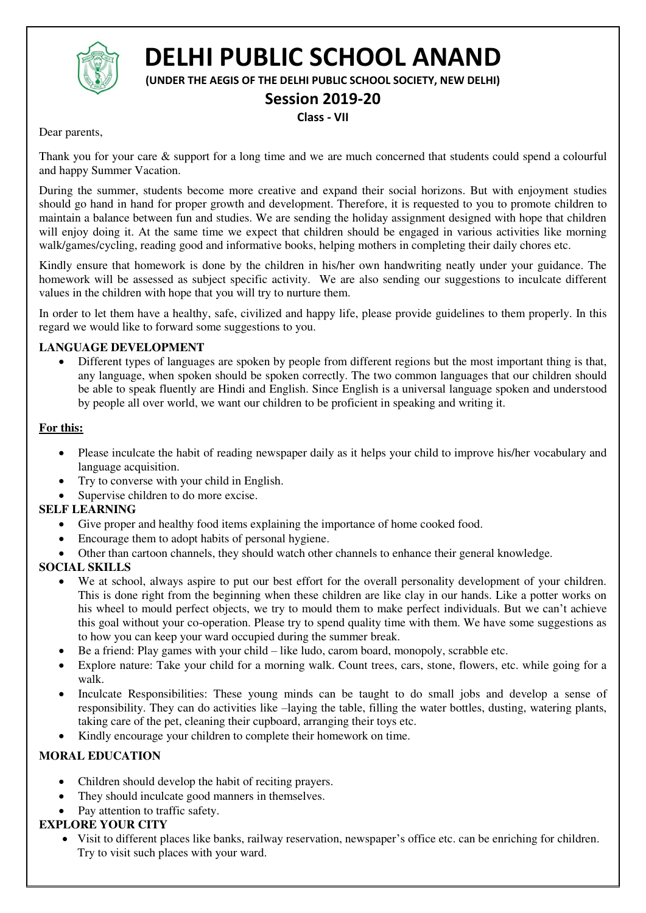

# **DELHI PUBLIC SCHOOL ANAND**

**(UNDER THE AEGIS OF THE DELHI PUBLIC SCHOOL SOCIETY, NEW DELHI)** 

### **Session 2019-20**

#### **Class - VII**

Dear parents,

Thank you for your care & support for a long time and we are much concerned that students could spend a colourful and happy Summer Vacation.

During the summer, students become more creative and expand their social horizons. But with enjoyment studies should go hand in hand for proper growth and development. Therefore, it is requested to you to promote children to maintain a balance between fun and studies. We are sending the holiday assignment designed with hope that children will enjoy doing it. At the same time we expect that children should be engaged in various activities like morning walk/games/cycling, reading good and informative books, helping mothers in completing their daily chores etc.

Kindly ensure that homework is done by the children in his/her own handwriting neatly under your guidance. The homework will be assessed as subject specific activity. We are also sending our suggestions to inculcate different values in the children with hope that you will try to nurture them.

In order to let them have a healthy, safe, civilized and happy life, please provide guidelines to them properly. In this regard we would like to forward some suggestions to you.

#### **LANGUAGE DEVELOPMENT**

 Different types of languages are spoken by people from different regions but the most important thing is that, any language, when spoken should be spoken correctly. The two common languages that our children should be able to speak fluently are Hindi and English. Since English is a universal language spoken and understood by people all over world, we want our children to be proficient in speaking and writing it.

#### **For this:**

- Please inculcate the habit of reading newspaper daily as it helps your child to improve his/her vocabulary and language acquisition.
- Try to converse with your child in English.
- Supervise children to do more excise.

#### **SELF LEARNING**

- Give proper and healthy food items explaining the importance of home cooked food.
- Encourage them to adopt habits of personal hygiene.
- Other than cartoon channels, they should watch other channels to enhance their general knowledge.

#### **SOCIAL SKILLS**

- We at school, always aspire to put our best effort for the overall personality development of your children. This is done right from the beginning when these children are like clay in our hands. Like a potter works on his wheel to mould perfect objects, we try to mould them to make perfect individuals. But we can't achieve this goal without your co-operation. Please try to spend quality time with them. We have some suggestions as to how you can keep your ward occupied during the summer break.
- Be a friend: Play games with your child like ludo, carom board, monopoly, scrabble etc.
- Explore nature: Take your child for a morning walk. Count trees, cars, stone, flowers, etc. while going for a walk.
- Inculcate Responsibilities: These young minds can be taught to do small jobs and develop a sense of responsibility. They can do activities like –laying the table, filling the water bottles, dusting, watering plants, taking care of the pet, cleaning their cupboard, arranging their toys etc.
- Kindly encourage your children to complete their homework on time.

#### **MORAL EDUCATION**

- Children should develop the habit of reciting prayers.
- They should inculcate good manners in themselves.
- Pay attention to traffic safety.

#### **EXPLORE YOUR CITY**

 Visit to different places like banks, railway reservation, newspaper's office etc. can be enriching for children. Try to visit such places with your ward.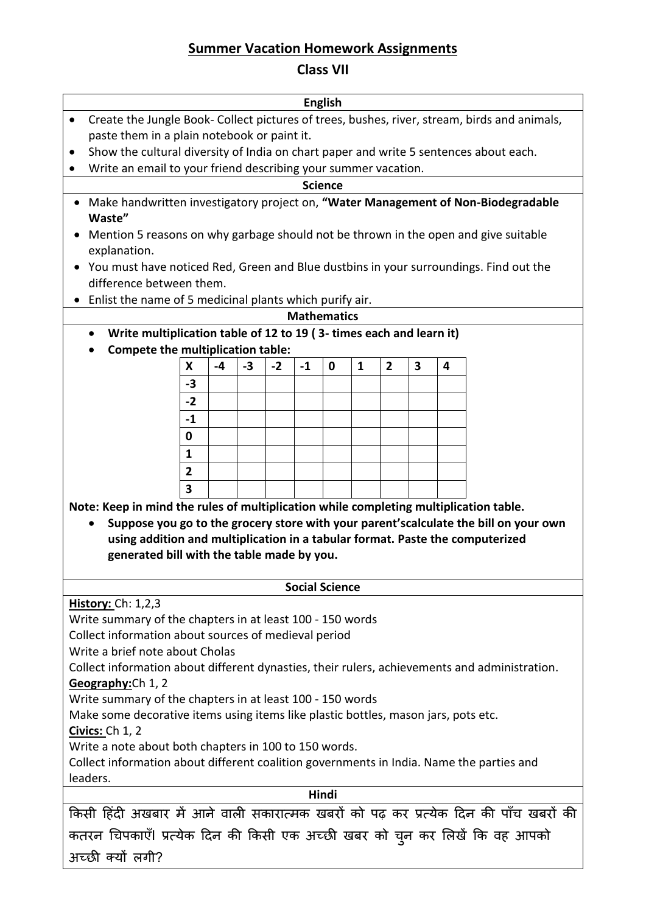# **Summer Vacation Homework Assignments**

## **Class VII**

| <b>English</b>                                                                                            |                |      |      |      |      |             |              |                |                         |   |                                                                                      |
|-----------------------------------------------------------------------------------------------------------|----------------|------|------|------|------|-------------|--------------|----------------|-------------------------|---|--------------------------------------------------------------------------------------|
| Create the Jungle Book- Collect pictures of trees, bushes, river, stream, birds and animals,<br>$\bullet$ |                |      |      |      |      |             |              |                |                         |   |                                                                                      |
| paste them in a plain notebook or paint it.                                                               |                |      |      |      |      |             |              |                |                         |   |                                                                                      |
| Show the cultural diversity of India on chart paper and write 5 sentences about each.<br>٠                |                |      |      |      |      |             |              |                |                         |   |                                                                                      |
|                                                                                                           |                |      |      |      |      |             |              |                |                         |   |                                                                                      |
| Write an email to your friend describing your summer vacation.                                            |                |      |      |      |      |             |              |                |                         |   |                                                                                      |
| <b>Science</b>                                                                                            |                |      |      |      |      |             |              |                |                         |   |                                                                                      |
| Make handwritten investigatory project on, "Water Management of Non-Biodegradable<br>Waste"               |                |      |      |      |      |             |              |                |                         |   |                                                                                      |
| Mention 5 reasons on why garbage should not be thrown in the open and give suitable<br>explanation.       |                |      |      |      |      |             |              |                |                         |   |                                                                                      |
| You must have noticed Red, Green and Blue dustbins in your surroundings. Find out the                     |                |      |      |      |      |             |              |                |                         |   |                                                                                      |
| difference between them.                                                                                  |                |      |      |      |      |             |              |                |                         |   |                                                                                      |
| Enlist the name of 5 medicinal plants which purify air.                                                   |                |      |      |      |      |             |              |                |                         |   |                                                                                      |
| <b>Mathematics</b>                                                                                        |                |      |      |      |      |             |              |                |                         |   |                                                                                      |
| Write multiplication table of 12 to 19 (3- times each and learn it)<br>$\bullet$                          |                |      |      |      |      |             |              |                |                         |   |                                                                                      |
| Compete the multiplication table:                                                                         |                |      |      |      |      |             |              |                |                         |   |                                                                                      |
|                                                                                                           | X              | $-4$ | $-3$ | $-2$ | $-1$ | $\mathbf 0$ | $\mathbf{1}$ | $\overline{2}$ | $\overline{\mathbf{3}}$ | 4 |                                                                                      |
|                                                                                                           |                |      |      |      |      |             |              |                |                         |   |                                                                                      |
|                                                                                                           | $-3$           |      |      |      |      |             |              |                |                         |   |                                                                                      |
|                                                                                                           | $-2$           |      |      |      |      |             |              |                |                         |   |                                                                                      |
|                                                                                                           | $-1$           |      |      |      |      |             |              |                |                         |   |                                                                                      |
|                                                                                                           | 0              |      |      |      |      |             |              |                |                         |   |                                                                                      |
|                                                                                                           | $\mathbf{1}$   |      |      |      |      |             |              |                |                         |   |                                                                                      |
|                                                                                                           | $\overline{2}$ |      |      |      |      |             |              |                |                         |   |                                                                                      |
|                                                                                                           | 3              |      |      |      |      |             |              |                |                         |   |                                                                                      |
| Note: Keep in mind the rules of multiplication while completing multiplication table.                     |                |      |      |      |      |             |              |                |                         |   |                                                                                      |
|                                                                                                           |                |      |      |      |      |             |              |                |                         |   | Suppose you go to the grocery store with your parent'scalculate the bill on your own |
| using addition and multiplication in a tabular format. Paste the computerized                             |                |      |      |      |      |             |              |                |                         |   |                                                                                      |
| generated bill with the table made by you.                                                                |                |      |      |      |      |             |              |                |                         |   |                                                                                      |
|                                                                                                           |                |      |      |      |      |             |              |                |                         |   |                                                                                      |
| <b>Social Science</b>                                                                                     |                |      |      |      |      |             |              |                |                         |   |                                                                                      |
| <b>History: Ch: 1,2,3</b>                                                                                 |                |      |      |      |      |             |              |                |                         |   |                                                                                      |
|                                                                                                           |                |      |      |      |      |             |              |                |                         |   |                                                                                      |
| Write summary of the chapters in at least 100 - 150 words                                                 |                |      |      |      |      |             |              |                |                         |   |                                                                                      |
| Collect information about sources of medieval period<br>Write a brief note about Cholas                   |                |      |      |      |      |             |              |                |                         |   |                                                                                      |
|                                                                                                           |                |      |      |      |      |             |              |                |                         |   |                                                                                      |
| Collect information about different dynasties, their rulers, achievements and administration.             |                |      |      |      |      |             |              |                |                         |   |                                                                                      |
| Geography: Ch 1, 2                                                                                        |                |      |      |      |      |             |              |                |                         |   |                                                                                      |
| Write summary of the chapters in at least 100 - 150 words                                                 |                |      |      |      |      |             |              |                |                         |   |                                                                                      |
| Make some decorative items using items like plastic bottles, mason jars, pots etc.                        |                |      |      |      |      |             |              |                |                         |   |                                                                                      |
| <b>Civics: Ch 1, 2</b><br>Write a note about both chapters in 100 to 150 words.                           |                |      |      |      |      |             |              |                |                         |   |                                                                                      |
| Collect information about different coalition governments in India. Name the parties and                  |                |      |      |      |      |             |              |                |                         |   |                                                                                      |
| leaders.                                                                                                  |                |      |      |      |      |             |              |                |                         |   |                                                                                      |
| Hindi                                                                                                     |                |      |      |      |      |             |              |                |                         |   |                                                                                      |
| किसी हिंदी अखबार में आने वाली सकारात्मक खबरों को पढ़ कर प्रत्येक दिन की पाँच खबरों की                     |                |      |      |      |      |             |              |                |                         |   |                                                                                      |
| कतरन चिपकाएँ। प्रत्येक दिन की किसी एक अच्छी खबर को चुन कर लिखें कि वह आपको                                |                |      |      |      |      |             |              |                |                         |   |                                                                                      |
| अच्छी क्यों लगी?                                                                                          |                |      |      |      |      |             |              |                |                         |   |                                                                                      |